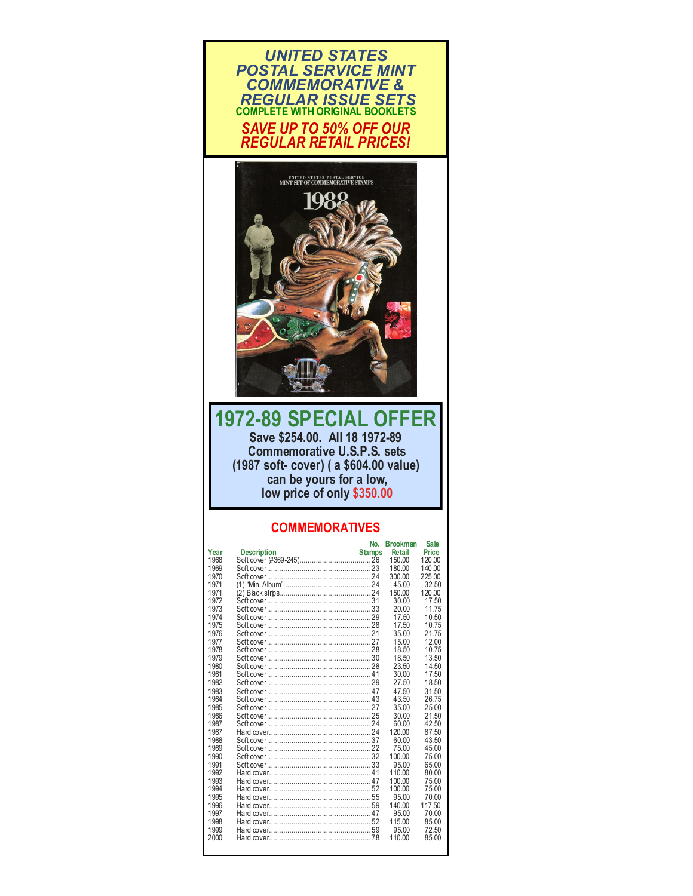



## **1972-89 SPECIAL OFFER Save \$254.00. All 18 1972-89 Commemorative U.S.P.S. sets (1987 soft- cover) ( a \$604.00 value) can be yours for a low, low price of only \$350.00**

## **COMMEMORATIVES**

| Year<br><b>Description</b><br><b>Retail</b><br><b>Price</b><br><b>Stamps</b><br>1968<br>120.00<br>150.00<br>1969<br>180.00<br>140.00<br>1970<br>300.00<br>225.00<br>1971<br>(1) "Mini Album" ……………………………………24<br>45.00<br>32.50<br>1971<br>150.00<br>120.00<br>1972<br>30.00<br>17.50 |
|---------------------------------------------------------------------------------------------------------------------------------------------------------------------------------------------------------------------------------------------------------------------------------------|
|                                                                                                                                                                                                                                                                                       |
|                                                                                                                                                                                                                                                                                       |
|                                                                                                                                                                                                                                                                                       |
|                                                                                                                                                                                                                                                                                       |
|                                                                                                                                                                                                                                                                                       |
|                                                                                                                                                                                                                                                                                       |
|                                                                                                                                                                                                                                                                                       |
| 1973<br>20.00<br>1175                                                                                                                                                                                                                                                                 |
| 1974<br>17.50<br>10.50                                                                                                                                                                                                                                                                |
| 1975<br>17.50<br>10.75                                                                                                                                                                                                                                                                |
| 1976<br>21.75<br>35.00                                                                                                                                                                                                                                                                |
| 1977<br>12.00<br>15.00                                                                                                                                                                                                                                                                |
| 1978<br>18.50<br>10.75                                                                                                                                                                                                                                                                |
| 1979<br>13.50<br>18.50                                                                                                                                                                                                                                                                |
| 1980<br>23.50<br>14.50                                                                                                                                                                                                                                                                |
| 1981<br>30.00<br>17.50                                                                                                                                                                                                                                                                |
| 1982<br>27.50<br>18.50                                                                                                                                                                                                                                                                |
| 1983<br>47.50<br>31.50                                                                                                                                                                                                                                                                |
| 1984<br>43.50<br>26.75                                                                                                                                                                                                                                                                |
| 1985<br>35.00<br>25.00                                                                                                                                                                                                                                                                |
| 1986<br>30.00<br>21.50                                                                                                                                                                                                                                                                |
| 1987<br>42.50<br>60.00                                                                                                                                                                                                                                                                |
| 1987<br>120.00<br>87.50                                                                                                                                                                                                                                                               |
| 1988<br>60.00<br>43.50                                                                                                                                                                                                                                                                |
| 1989<br>75.00<br>45.00                                                                                                                                                                                                                                                                |
| 1990<br>100.00<br>75.00                                                                                                                                                                                                                                                               |
| 1991<br>95.00<br>65.00                                                                                                                                                                                                                                                                |
| 1992<br>110.00<br>80.00                                                                                                                                                                                                                                                               |
| 1993<br>100.00<br>75.00                                                                                                                                                                                                                                                               |
| 1994<br>100.00<br>75.00                                                                                                                                                                                                                                                               |
| 1995<br>95.00<br>70.00                                                                                                                                                                                                                                                                |
| 1996<br>140.00<br>117.50                                                                                                                                                                                                                                                              |
| 1997<br>95.00<br>70.00                                                                                                                                                                                                                                                                |
| 1998<br>115.00<br>85.00                                                                                                                                                                                                                                                               |
| 1999<br>72.50<br>95.00                                                                                                                                                                                                                                                                |
| 2000<br>110.00<br>85.00                                                                                                                                                                                                                                                               |